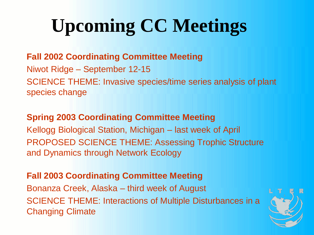## **Upcoming CC Meetings**

## **Fall 2002 Coordinating Committee Meeting**

Niwot Ridge – September 12-15 SCIENCE THEME: Invasive species/time series analysis of plant species change

## **Spring 2003 Coordinating Committee Meeting**

Kellogg Biological Station, Michigan – last week of April PROPOSED SCIENCE THEME: Assessing Trophic Structure and Dynamics through Network Ecology

## **Fall 2003 Coordinating Committee Meeting**

Bonanza Creek, Alaska – third week of August SCIENCE THEME: Interactions of Multiple Disturbances in a Changing Climate